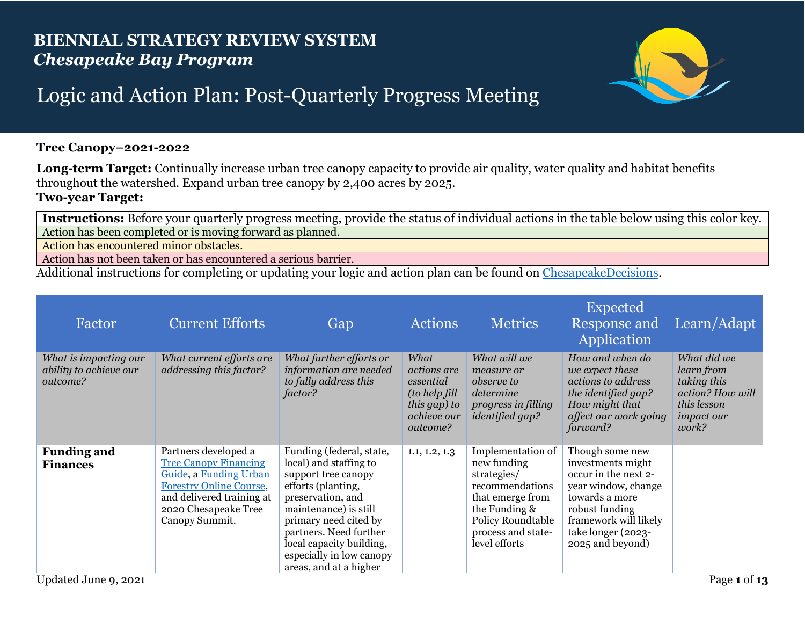## **BIENNIAL STRATEGY REVIEW SYSTEM** *Chesapeake Bay Program*



## Logic and Action Plan: Post-Quarterly Progress Meeting

## **Tree Canopy–2021-2022**

**Long-term Target:** Continually increase urban tree canopy capacity to provide air quality, water quality and habitat benefits throughout the watershed. Expand urban tree canopy by 2,400 acres by 2025. **Two-year Target:** 

**Instructions:** Before your quarterly progress meeting, provide the status of individual actions in the table below using this color key. Action has been completed or is moving forward as planned.

Action has encountered minor obstacles.

Action has not been taken or has encountered a serious barrier.

Additional instructions for completing or updating your logic and action plan can be found on [ChesapeakeDecisions.](http://www.chesapeakebay.net/decisions/srs-guide)

| Factor                                                      | <b>Current Efforts</b>                                                                                                                                                                  | Gap                                                                                                                                                                                                                                                                                | <b>Actions</b>                                                                               | <b>Metrics</b>                                                                                                                                                      | <b>Expected</b><br>Response and<br>Application                                                                                                                                             | Learn/Adapt                                                                                               |
|-------------------------------------------------------------|-----------------------------------------------------------------------------------------------------------------------------------------------------------------------------------------|------------------------------------------------------------------------------------------------------------------------------------------------------------------------------------------------------------------------------------------------------------------------------------|----------------------------------------------------------------------------------------------|---------------------------------------------------------------------------------------------------------------------------------------------------------------------|--------------------------------------------------------------------------------------------------------------------------------------------------------------------------------------------|-----------------------------------------------------------------------------------------------------------|
| What is impacting our<br>ability to achieve our<br>outcome? | What current efforts are<br>addressing this factor?                                                                                                                                     | What further efforts or<br>information are needed<br>to fully address this<br>factor?                                                                                                                                                                                              | What<br>actions are<br>essential<br>(to help fill<br>this gap) to<br>achieve our<br>outcome? | What will we<br>measure or<br><i>observe to</i><br>determine<br>progress in filling<br><i>identified gap?</i>                                                       | How and when do<br>we expect these<br>actions to address<br>the identified gap?<br>How might that<br>affect our work going<br>forward?                                                     | What did we<br>learn from<br>taking this<br>action? How will<br>this lesson<br><i>impact our</i><br>work? |
| <b>Funding and</b><br><b>Finances</b>                       | Partners developed a<br><b>Tree Canopy Financing</b><br>Guide, a Funding Urban<br><b>Forestry Online Course,</b><br>and delivered training at<br>2020 Chesapeake Tree<br>Canopy Summit. | Funding (federal, state,<br>local) and staffing to<br>support tree canopy<br>efforts (planting,<br>preservation, and<br>maintenance) is still<br>primary need cited by<br>partners. Need further<br>local capacity building,<br>especially in low canopy<br>areas, and at a higher | 1.1, 1.2, 1.3                                                                                | Implementation of<br>new funding<br>strategies/<br>recommendations<br>that emerge from<br>the Funding &<br>Policy Roundtable<br>process and state-<br>level efforts | Though some new<br>investments might<br>occur in the next 2-<br>year window, change<br>towards a more<br>robust funding<br>framework will likely<br>take longer (2023-<br>2025 and beyond) |                                                                                                           |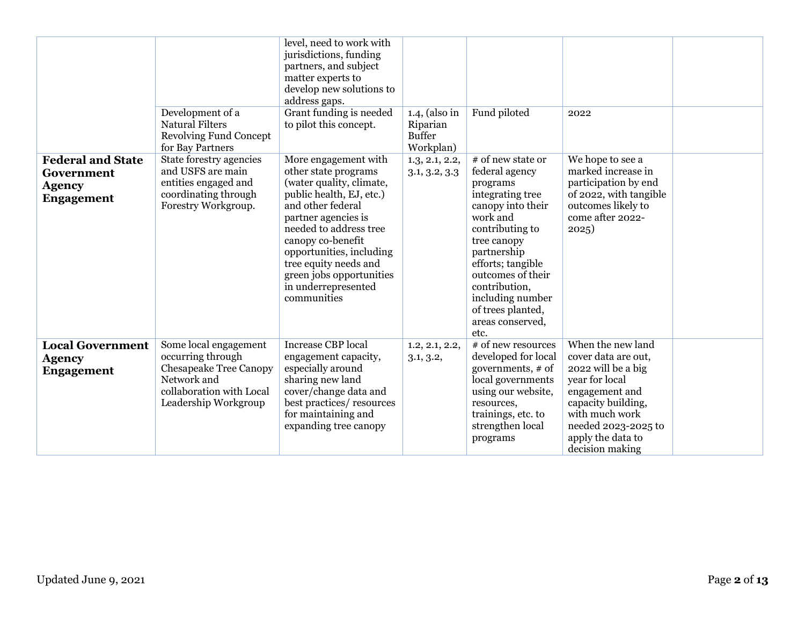|                                                                              | Development of a<br><b>Natural Filters</b><br><b>Revolving Fund Concept</b><br>for Bay Partners                                                | level, need to work with<br>jurisdictions, funding<br>partners, and subject<br>matter experts to<br>develop new solutions to<br>address gaps.<br>Grant funding is needed<br>to pilot this concept.                                                                                                                     | $1.4$ , (also in<br>Riparian<br><b>Buffer</b><br>Workplan) | Fund piloted                                                                                                                                                                                                                                                                          | 2022                                                                                                                                                                                                      |  |
|------------------------------------------------------------------------------|------------------------------------------------------------------------------------------------------------------------------------------------|------------------------------------------------------------------------------------------------------------------------------------------------------------------------------------------------------------------------------------------------------------------------------------------------------------------------|------------------------------------------------------------|---------------------------------------------------------------------------------------------------------------------------------------------------------------------------------------------------------------------------------------------------------------------------------------|-----------------------------------------------------------------------------------------------------------------------------------------------------------------------------------------------------------|--|
| <b>Federal and State</b><br>Government<br><b>Agency</b><br><b>Engagement</b> | State forestry agencies<br>and USFS are main<br>entities engaged and<br>coordinating through<br>Forestry Workgroup.                            | More engagement with<br>other state programs<br>(water quality, climate,<br>public health, EJ, etc.)<br>and other federal<br>partner agencies is<br>needed to address tree<br>canopy co-benefit<br>opportunities, including<br>tree equity needs and<br>green jobs opportunities<br>in underrepresented<br>communities | 1.3, 2.1, 2.2,<br>3.1, 3.2, 3.3                            | # of new state or<br>federal agency<br>programs<br>integrating tree<br>canopy into their<br>work and<br>contributing to<br>tree canopy<br>partnership<br>efforts; tangible<br>outcomes of their<br>contribution,<br>including number<br>of trees planted,<br>areas conserved,<br>etc. | We hope to see a<br>marked increase in<br>participation by end<br>of 2022, with tangible<br>outcomes likely to<br>come after 2022-<br>2025)                                                               |  |
| <b>Local Government</b><br><b>Agency</b><br><b>Engagement</b>                | Some local engagement<br>occurring through<br><b>Chesapeake Tree Canopy</b><br>Network and<br>collaboration with Local<br>Leadership Workgroup | <b>Increase CBP</b> local<br>engagement capacity,<br>especially around<br>sharing new land<br>cover/change data and<br>best practices/resources<br>for maintaining and<br>expanding tree canopy                                                                                                                        | 1.2, 2.1, 2.2,<br>3.1, 3.2,                                | # of new resources<br>developed for local<br>governments, # of<br>local governments<br>using our website,<br>resources,<br>trainings, etc. to<br>strengthen local<br>programs                                                                                                         | When the new land<br>cover data are out,<br>2022 will be a big<br>year for local<br>engagement and<br>capacity building,<br>with much work<br>needed 2023-2025 to<br>apply the data to<br>decision making |  |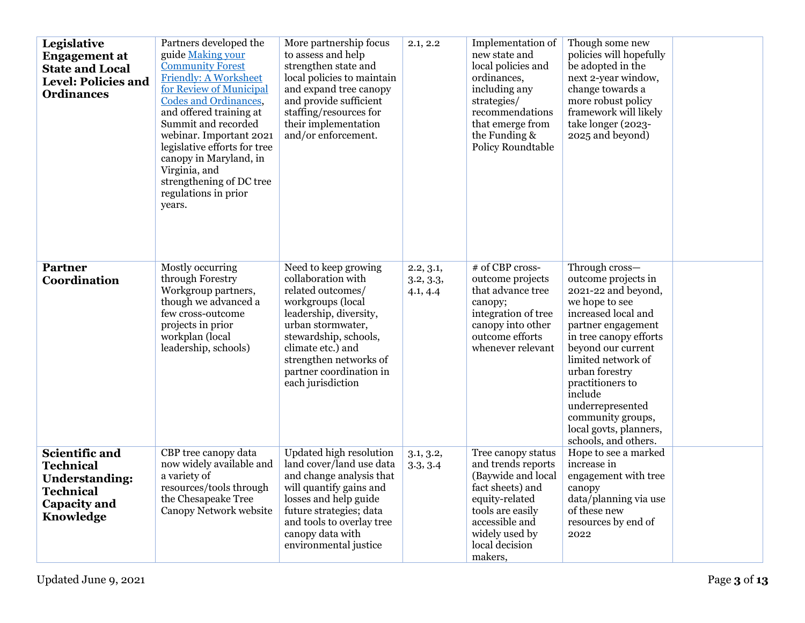| Legislative<br><b>Engagement</b> at<br><b>State and Local</b><br><b>Level: Policies and</b><br><b>Ordinances</b>           | Partners developed the<br>guide Making your<br><b>Community Forest</b><br><b>Friendly: A Worksheet</b><br>for Review of Municipal<br>Codes and Ordinances,<br>and offered training at<br>Summit and recorded<br>webinar. Important 2021<br>legislative efforts for tree<br>canopy in Maryland, in<br>Virginia, and<br>strengthening of DC tree<br>regulations in prior<br>years. | More partnership focus<br>to assess and help<br>strengthen state and<br>local policies to maintain<br>and expand tree canopy<br>and provide sufficient<br>staffing/resources for<br>their implementation<br>and/or enforcement.                             | 2.1, 2.2                           | Implementation of<br>new state and<br>local policies and<br>ordinances,<br>including any<br>strategies/<br>recommendations<br>that emerge from<br>the Funding &<br>Policy Roundtable      | Though some new<br>policies will hopefully<br>be adopted in the<br>next 2-year window,<br>change towards a<br>more robust policy<br>framework will likely<br>take longer (2023-<br>2025 and beyond)                                                                                                                                           |  |
|----------------------------------------------------------------------------------------------------------------------------|----------------------------------------------------------------------------------------------------------------------------------------------------------------------------------------------------------------------------------------------------------------------------------------------------------------------------------------------------------------------------------|-------------------------------------------------------------------------------------------------------------------------------------------------------------------------------------------------------------------------------------------------------------|------------------------------------|-------------------------------------------------------------------------------------------------------------------------------------------------------------------------------------------|-----------------------------------------------------------------------------------------------------------------------------------------------------------------------------------------------------------------------------------------------------------------------------------------------------------------------------------------------|--|
| <b>Partner</b><br>Coordination                                                                                             | Mostly occurring<br>through Forestry<br>Workgroup partners,<br>though we advanced a<br>few cross-outcome<br>projects in prior<br>workplan (local<br>leadership, schools)                                                                                                                                                                                                         | Need to keep growing<br>collaboration with<br>related outcomes/<br>workgroups (local<br>leadership, diversity,<br>urban stormwater,<br>stewardship, schools,<br>climate etc.) and<br>strengthen networks of<br>partner coordination in<br>each jurisdiction | 2.2, 3.1,<br>3.2, 3.3,<br>4.1, 4.4 | # of CBP cross-<br>outcome projects<br>that advance tree<br>canopy;<br>integration of tree<br>canopy into other<br>outcome efforts<br>whenever relevant                                   | Through cross-<br>outcome projects in<br>2021-22 and beyond,<br>we hope to see<br>increased local and<br>partner engagement<br>in tree canopy efforts<br>beyond our current<br>limited network of<br>urban forestry<br>practitioners to<br>include<br>underrepresented<br>community groups,<br>local govts, planners,<br>schools, and others. |  |
| <b>Scientific and</b><br><b>Technical</b><br><b>Understanding:</b><br><b>Technical</b><br><b>Capacity and</b><br>Knowledge | CBP tree canopy data<br>now widely available and<br>a variety of<br>resources/tools through<br>the Chesapeake Tree<br>Canopy Network website                                                                                                                                                                                                                                     | <b>Updated high resolution</b><br>land cover/land use data<br>and change analysis that<br>will quantify gains and<br>losses and help guide<br>future strategies; data<br>and tools to overlay tree<br>canopy data with<br>environmental justice             | 3.1, 3.2,<br>3.3, 3.4              | Tree canopy status<br>and trends reports<br>(Baywide and local<br>fact sheets) and<br>equity-related<br>tools are easily<br>accessible and<br>widely used by<br>local decision<br>makers, | Hope to see a marked<br>increase in<br>engagement with tree<br>canopy<br>data/planning via use<br>of these new<br>resources by end of<br>2022                                                                                                                                                                                                 |  |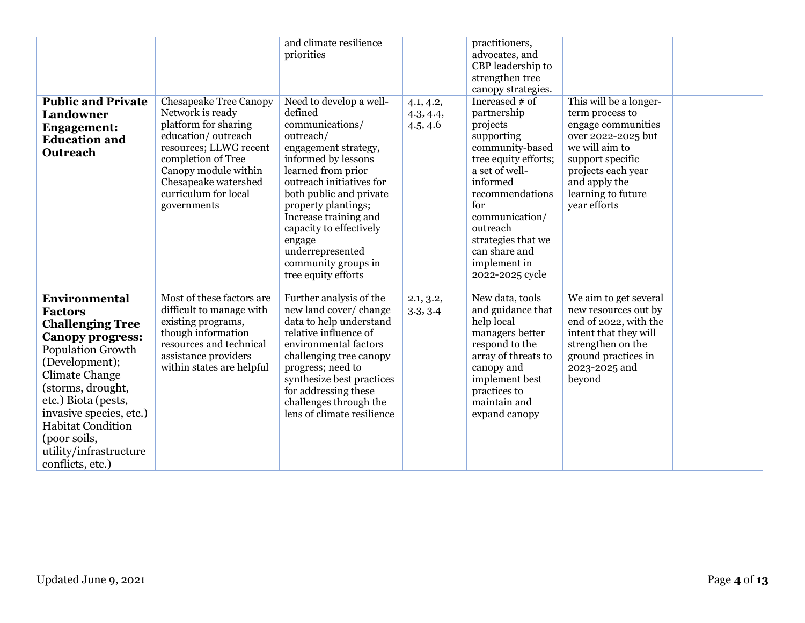| <b>Public and Private</b><br><b>Landowner</b><br><b>Engagement:</b><br><b>Education and</b><br>Outreach                                                                                                                                                                                                                       | <b>Chesapeake Tree Canopy</b><br>Network is ready<br>platform for sharing<br>education/outreach<br>resources; LLWG recent<br>completion of Tree<br>Canopy module within<br>Chesapeake watershed<br>curriculum for local<br>governments | and climate resilience<br>priorities<br>Need to develop a well-<br>defined<br>communications/<br>outreach/<br>engagement strategy,<br>informed by lessons<br>learned from prior<br>outreach initiatives for<br>both public and private<br>property plantings;<br>Increase training and<br>capacity to effectively<br>engage<br>underrepresented<br>community groups in<br>tree equity efforts | 4.1, 4.2,<br>4.3, 4.4,<br>4.5, 4.6 | practitioners,<br>advocates, and<br>CBP leadership to<br>strengthen tree<br>canopy strategies.<br>Increased $#$ of<br>partnership<br>projects<br>supporting<br>community-based<br>tree equity efforts;<br>a set of well-<br>informed<br>recommendations<br>for<br>communication/<br>outreach<br>strategies that we<br>can share and<br>implement in<br>2022-2025 cycle | This will be a longer-<br>term process to<br>engage communities<br>over 2022-2025 but<br>we will aim to<br>support specific<br>projects each year<br>and apply the<br>learning to future<br>year efforts |  |
|-------------------------------------------------------------------------------------------------------------------------------------------------------------------------------------------------------------------------------------------------------------------------------------------------------------------------------|----------------------------------------------------------------------------------------------------------------------------------------------------------------------------------------------------------------------------------------|-----------------------------------------------------------------------------------------------------------------------------------------------------------------------------------------------------------------------------------------------------------------------------------------------------------------------------------------------------------------------------------------------|------------------------------------|------------------------------------------------------------------------------------------------------------------------------------------------------------------------------------------------------------------------------------------------------------------------------------------------------------------------------------------------------------------------|----------------------------------------------------------------------------------------------------------------------------------------------------------------------------------------------------------|--|
| Environmental<br><b>Factors</b><br><b>Challenging Tree</b><br><b>Canopy progress:</b><br><b>Population Growth</b><br>(Development);<br><b>Climate Change</b><br>(storms, drought,<br>etc.) Biota (pests,<br>invasive species, etc.)<br><b>Habitat Condition</b><br>(poor soils,<br>utility/infrastructure<br>conflicts, etc.) | Most of these factors are<br>difficult to manage with<br>existing programs,<br>though information<br>resources and technical<br>assistance providers<br>within states are helpful                                                      | Further analysis of the<br>new land cover/ change<br>data to help understand<br>relative influence of<br>environmental factors<br>challenging tree canopy<br>progress; need to<br>synthesize best practices<br>for addressing these<br>challenges through the<br>lens of climate resilience                                                                                                   | 2.1, 3.2,<br>3.3, 3.4              | New data, tools<br>and guidance that<br>help local<br>managers better<br>respond to the<br>array of threats to<br>canopy and<br>implement best<br>practices to<br>maintain and<br>expand canopy                                                                                                                                                                        | We aim to get several<br>new resources out by<br>end of 2022, with the<br>intent that they will<br>strengthen on the<br>ground practices in<br>2023-2025 and<br>beyond                                   |  |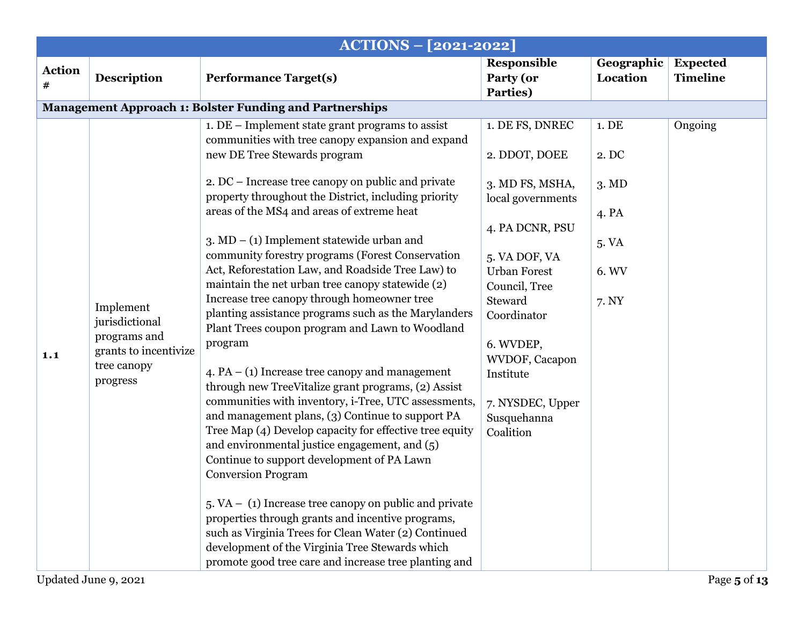|                    |                                                                                                                         | ACTIONS - [2021-2022]                                                                                                                                                                                                                                                                                                                                                                                                                                                                                                                                                                                                                                                                                                                                                                                                                                                                                                                                                                                                                                                                                                                                                                                                                                                                                                                                                                             |                                                                                                                                                                                                                                                                            |                                                                         |                                    |
|--------------------|-------------------------------------------------------------------------------------------------------------------------|---------------------------------------------------------------------------------------------------------------------------------------------------------------------------------------------------------------------------------------------------------------------------------------------------------------------------------------------------------------------------------------------------------------------------------------------------------------------------------------------------------------------------------------------------------------------------------------------------------------------------------------------------------------------------------------------------------------------------------------------------------------------------------------------------------------------------------------------------------------------------------------------------------------------------------------------------------------------------------------------------------------------------------------------------------------------------------------------------------------------------------------------------------------------------------------------------------------------------------------------------------------------------------------------------------------------------------------------------------------------------------------------------|----------------------------------------------------------------------------------------------------------------------------------------------------------------------------------------------------------------------------------------------------------------------------|-------------------------------------------------------------------------|------------------------------------|
| <b>Action</b><br># | <b>Description</b>                                                                                                      | <b>Performance Target(s)</b>                                                                                                                                                                                                                                                                                                                                                                                                                                                                                                                                                                                                                                                                                                                                                                                                                                                                                                                                                                                                                                                                                                                                                                                                                                                                                                                                                                      | Responsible<br>Party (or<br>Parties)                                                                                                                                                                                                                                       | Geographic<br>Location                                                  | <b>Expected</b><br><b>Timeline</b> |
|                    |                                                                                                                         | <b>Management Approach 1: Bolster Funding and Partnerships</b>                                                                                                                                                                                                                                                                                                                                                                                                                                                                                                                                                                                                                                                                                                                                                                                                                                                                                                                                                                                                                                                                                                                                                                                                                                                                                                                                    |                                                                                                                                                                                                                                                                            |                                                                         |                                    |
| 1.1                | Implement<br>jurisdictional<br>programs and<br>grants to incentivize<br>tree canopy<br>progress<br>Updated June 9, 2021 | $1.$ DE – Implement state grant programs to assist<br>communities with tree canopy expansion and expand<br>new DE Tree Stewards program<br>2. DC – Increase tree canopy on public and private<br>property throughout the District, including priority<br>areas of the MS4 and areas of extreme heat<br>$3. \text{MD} - (1)$ Implement statewide urban and<br>community forestry programs (Forest Conservation<br>Act, Reforestation Law, and Roadside Tree Law) to<br>maintain the net urban tree canopy statewide (2)<br>Increase tree canopy through homeowner tree<br>planting assistance programs such as the Marylanders<br>Plant Trees coupon program and Lawn to Woodland<br>program<br>$4. PA - (1)$ Increase tree canopy and management<br>through new TreeVitalize grant programs, (2) Assist<br>communities with inventory, i-Tree, UTC assessments,<br>and management plans, (3) Continue to support PA<br>Tree Map (4) Develop capacity for effective tree equity<br>and environmental justice engagement, and $(5)$<br>Continue to support development of PA Lawn<br><b>Conversion Program</b><br>$5. VA - (1)$ Increase tree canopy on public and private<br>properties through grants and incentive programs,<br>such as Virginia Trees for Clean Water (2) Continued<br>development of the Virginia Tree Stewards which<br>promote good tree care and increase tree planting and | 1. DE FS, DNREC<br>2. DDOT, DOEE<br>3. MD FS, MSHA,<br>local governments<br>4. PA DCNR, PSU<br>5. VA DOF, VA<br><b>Urban Forest</b><br>Council, Tree<br>Steward<br>Coordinator<br>6. WVDEP,<br>WVDOF, Cacapon<br>Institute<br>7. NYSDEC, Upper<br>Susquehanna<br>Coalition | 1. DE<br>2. DC<br>$3. \, \text{MD}$<br>4. PA<br>5. VA<br>6. WV<br>7. NY | Ongoing<br>Page 5 of 13            |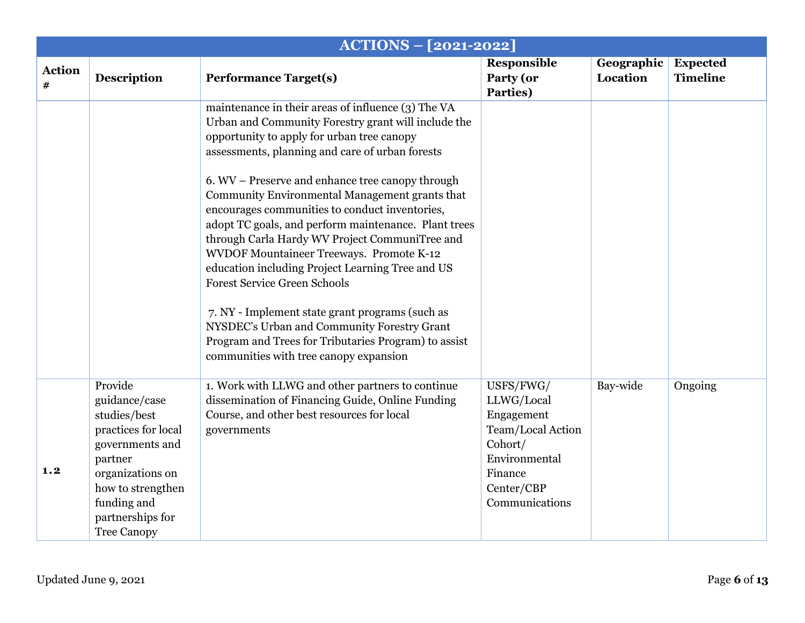|                    |                                                                                                                                                                                                 | <b>ACTIONS - [2021-2022]</b>                                                                                                                                                                                                                                                                                                                                                                                                                                                                                                                                                                              |                                                                                                                                   |                        |                                    |
|--------------------|-------------------------------------------------------------------------------------------------------------------------------------------------------------------------------------------------|-----------------------------------------------------------------------------------------------------------------------------------------------------------------------------------------------------------------------------------------------------------------------------------------------------------------------------------------------------------------------------------------------------------------------------------------------------------------------------------------------------------------------------------------------------------------------------------------------------------|-----------------------------------------------------------------------------------------------------------------------------------|------------------------|------------------------------------|
| <b>Action</b><br># | <b>Description</b>                                                                                                                                                                              | <b>Performance Target(s)</b>                                                                                                                                                                                                                                                                                                                                                                                                                                                                                                                                                                              | <b>Responsible</b><br>Party (or<br>Parties)                                                                                       | Geographic<br>Location | <b>Expected</b><br><b>Timeline</b> |
|                    |                                                                                                                                                                                                 | maintenance in their areas of influence (3) The VA<br>Urban and Community Forestry grant will include the<br>opportunity to apply for urban tree canopy<br>assessments, planning and care of urban forests                                                                                                                                                                                                                                                                                                                                                                                                |                                                                                                                                   |                        |                                    |
|                    |                                                                                                                                                                                                 | 6. WV – Preserve and enhance tree canopy through<br>Community Environmental Management grants that<br>encourages communities to conduct inventories,<br>adopt TC goals, and perform maintenance. Plant trees<br>through Carla Hardy WV Project CommuniTree and<br>WVDOF Mountaineer Treeways. Promote K-12<br>education including Project Learning Tree and US<br><b>Forest Service Green Schools</b><br>7. NY - Implement state grant programs (such as<br>NYSDEC's Urban and Community Forestry Grant<br>Program and Trees for Tributaries Program) to assist<br>communities with tree canopy expansion |                                                                                                                                   |                        |                                    |
| 1.2                | Provide<br>guidance/case<br>studies/best<br>practices for local<br>governments and<br>partner<br>organizations on<br>how to strengthen<br>funding and<br>partnerships for<br><b>Tree Canopy</b> | 1. Work with LLWG and other partners to continue<br>dissemination of Financing Guide, Online Funding<br>Course, and other best resources for local<br>governments                                                                                                                                                                                                                                                                                                                                                                                                                                         | USFS/FWG/<br>LLWG/Local<br>Engagement<br>Team/Local Action<br>Cohort/<br>Environmental<br>Finance<br>Center/CBP<br>Communications | Bay-wide               | Ongoing                            |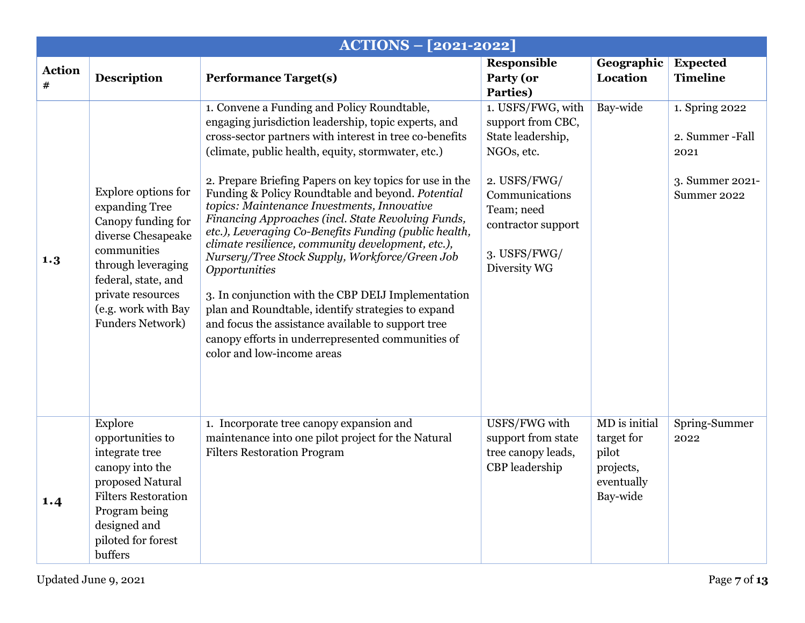|                             |                                                                                                                                                                                                                      | <b>ACTIONS - [2021-2022]</b>                                                                                                                                                                                                                                                                                                                                                                                                                                                                                                                                                                                                                                                                                                                                                                                                                                                    |                                                                                                                                                                                 |                                                                             |                                                                            |
|-----------------------------|----------------------------------------------------------------------------------------------------------------------------------------------------------------------------------------------------------------------|---------------------------------------------------------------------------------------------------------------------------------------------------------------------------------------------------------------------------------------------------------------------------------------------------------------------------------------------------------------------------------------------------------------------------------------------------------------------------------------------------------------------------------------------------------------------------------------------------------------------------------------------------------------------------------------------------------------------------------------------------------------------------------------------------------------------------------------------------------------------------------|---------------------------------------------------------------------------------------------------------------------------------------------------------------------------------|-----------------------------------------------------------------------------|----------------------------------------------------------------------------|
| <b>Action</b><br>$\pmb{\#}$ | <b>Description</b>                                                                                                                                                                                                   | <b>Performance Target(s)</b>                                                                                                                                                                                                                                                                                                                                                                                                                                                                                                                                                                                                                                                                                                                                                                                                                                                    | Responsible<br>Party (or<br>Parties)                                                                                                                                            | Geographic<br>Location                                                      | <b>Expected</b><br><b>Timeline</b>                                         |
| 1.3                         | Explore options for<br>expanding Tree<br>Canopy funding for<br>diverse Chesapeake<br>communities<br>through leveraging<br>federal, state, and<br>private resources<br>(e.g. work with Bay<br><b>Funders Network)</b> | 1. Convene a Funding and Policy Roundtable,<br>engaging jurisdiction leadership, topic experts, and<br>cross-sector partners with interest in tree co-benefits<br>(climate, public health, equity, stormwater, etc.)<br>2. Prepare Briefing Papers on key topics for use in the<br>Funding & Policy Roundtable and beyond. Potential<br>topics: Maintenance Investments, Innovative<br>Financing Approaches (incl. State Revolving Funds,<br>etc.), Leveraging Co-Benefits Funding (public health,<br>climate resilience, community development, etc.),<br>Nursery/Tree Stock Supply, Workforce/Green Job<br>Opportunities<br>3. In conjunction with the CBP DEIJ Implementation<br>plan and Roundtable, identify strategies to expand<br>and focus the assistance available to support tree<br>canopy efforts in underrepresented communities of<br>color and low-income areas | 1. USFS/FWG, with<br>support from CBC,<br>State leadership,<br>NGOs, etc.<br>2. USFS/FWG/<br>Communications<br>Team; need<br>contractor support<br>3. USFS/FWG/<br>Diversity WG | Bay-wide                                                                    | 1. Spring 2022<br>2. Summer-Fall<br>2021<br>3. Summer 2021-<br>Summer 2022 |
| 1.4                         | Explore<br>opportunities to<br>integrate tree<br>canopy into the<br>proposed Natural<br><b>Filters Restoration</b><br>Program being<br>designed and<br>piloted for forest<br>buffers                                 | 1. Incorporate tree canopy expansion and<br>maintenance into one pilot project for the Natural<br><b>Filters Restoration Program</b>                                                                                                                                                                                                                                                                                                                                                                                                                                                                                                                                                                                                                                                                                                                                            | USFS/FWG with<br>support from state<br>tree canopy leads,<br>CBP leadership                                                                                                     | MD is initial<br>target for<br>pilot<br>projects,<br>eventually<br>Bay-wide | Spring-Summer<br>2022                                                      |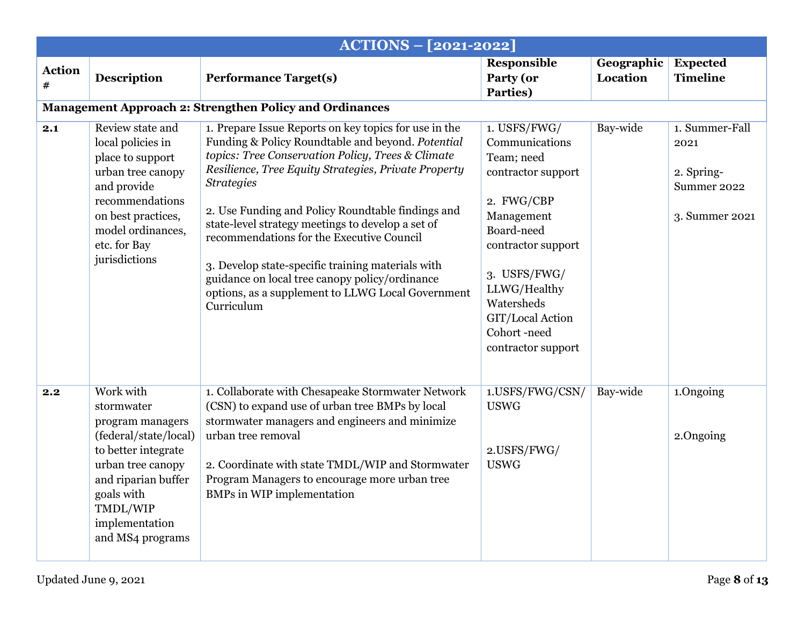|                    |                                                                                                                                                                                                         | <b>ACTIONS - [2021-2022]</b>                                                                                                                                                                                                                                                                                                                                                                                                                                                                                                                                                  |                                                                                                                                                                                                                                           |                        |                                                                       |
|--------------------|---------------------------------------------------------------------------------------------------------------------------------------------------------------------------------------------------------|-------------------------------------------------------------------------------------------------------------------------------------------------------------------------------------------------------------------------------------------------------------------------------------------------------------------------------------------------------------------------------------------------------------------------------------------------------------------------------------------------------------------------------------------------------------------------------|-------------------------------------------------------------------------------------------------------------------------------------------------------------------------------------------------------------------------------------------|------------------------|-----------------------------------------------------------------------|
| <b>Action</b><br># | <b>Description</b>                                                                                                                                                                                      | <b>Performance Target(s)</b>                                                                                                                                                                                                                                                                                                                                                                                                                                                                                                                                                  | <b>Responsible</b><br>Party (or<br>Parties)                                                                                                                                                                                               | Geographic<br>Location | <b>Expected</b><br><b>Timeline</b>                                    |
|                    |                                                                                                                                                                                                         | <b>Management Approach 2: Strengthen Policy and Ordinances</b>                                                                                                                                                                                                                                                                                                                                                                                                                                                                                                                |                                                                                                                                                                                                                                           |                        |                                                                       |
| 2.1                | Review state and<br>local policies in<br>place to support<br>urban tree canopy<br>and provide<br>recommendations<br>on best practices,<br>model ordinances,<br>etc. for Bay<br>jurisdictions            | 1. Prepare Issue Reports on key topics for use in the<br>Funding & Policy Roundtable and beyond. Potential<br>topics: Tree Conservation Policy, Trees & Climate<br>Resilience, Tree Equity Strategies, Private Property<br><b>Strategies</b><br>2. Use Funding and Policy Roundtable findings and<br>state-level strategy meetings to develop a set of<br>recommendations for the Executive Council<br>3. Develop state-specific training materials with<br>guidance on local tree canopy policy/ordinance<br>options, as a supplement to LLWG Local Government<br>Curriculum | 1. USFS/FWG/<br>Communications<br>Team; need<br>contractor support<br>2. FWG/CBP<br>Management<br>Board-need<br>contractor support<br>3. USFS/FWG/<br>LLWG/Healthy<br>Watersheds<br>GIT/Local Action<br>Cohort-need<br>contractor support | Bay-wide               | 1. Summer-Fall<br>2021<br>2. Spring-<br>Summer 2022<br>3. Summer 2021 |
| 2.2                | Work with<br>stormwater<br>program managers<br>(federal/state/local)<br>to better integrate<br>urban tree canopy<br>and riparian buffer<br>goals with<br>TMDL/WIP<br>implementation<br>and MS4 programs | 1. Collaborate with Chesapeake Stormwater Network<br>(CSN) to expand use of urban tree BMPs by local<br>stormwater managers and engineers and minimize<br>urban tree removal<br>2. Coordinate with state TMDL/WIP and Stormwater<br>Program Managers to encourage more urban tree<br><b>BMPs</b> in WIP implementation                                                                                                                                                                                                                                                        | 1.USFS/FWG/CSN/<br><b>USWG</b><br>2.USFS/FWG/<br><b>USWG</b>                                                                                                                                                                              | Bay-wide               | 1.Ongoing<br>2.Ongoing                                                |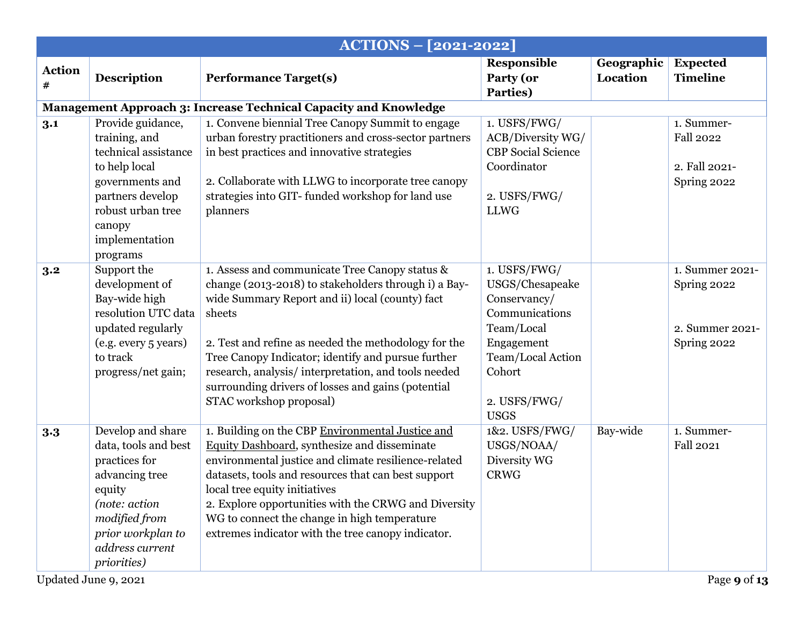|                    |                                                                                                                                                                                         | <b>ACTIONS - [2021-2022]</b>                                                                                                                                                                                                                                                                                                                                                                                              |                                                                                                                                                             |                        |                                                                  |
|--------------------|-----------------------------------------------------------------------------------------------------------------------------------------------------------------------------------------|---------------------------------------------------------------------------------------------------------------------------------------------------------------------------------------------------------------------------------------------------------------------------------------------------------------------------------------------------------------------------------------------------------------------------|-------------------------------------------------------------------------------------------------------------------------------------------------------------|------------------------|------------------------------------------------------------------|
| <b>Action</b><br># | <b>Description</b>                                                                                                                                                                      | <b>Performance Target(s)</b>                                                                                                                                                                                                                                                                                                                                                                                              | Responsible<br>Party (or<br>Parties)                                                                                                                        | Geographic<br>Location | <b>Expected</b><br><b>Timeline</b>                               |
|                    |                                                                                                                                                                                         | Management Approach 3: Increase Technical Capacity and Knowledge                                                                                                                                                                                                                                                                                                                                                          |                                                                                                                                                             |                        |                                                                  |
| 3.1                | Provide guidance,<br>training, and<br>technical assistance<br>to help local<br>governments and<br>partners develop<br>robust urban tree<br>canopy<br>implementation<br>programs         | 1. Convene biennial Tree Canopy Summit to engage<br>urban forestry practitioners and cross-sector partners<br>in best practices and innovative strategies<br>2. Collaborate with LLWG to incorporate tree canopy<br>strategies into GIT-funded workshop for land use<br>planners                                                                                                                                          | 1. USFS/FWG/<br>ACB/Diversity WG/<br><b>CBP</b> Social Science<br>Coordinator<br>2. USFS/FWG/<br><b>LLWG</b>                                                |                        | 1. Summer-<br><b>Fall 2022</b><br>2. Fall 2021-<br>Spring 2022   |
| 3.2                | Support the<br>development of<br>Bay-wide high<br>resolution UTC data<br>updated regularly<br>(e.g. every 5 years)<br>to track<br>progress/net gain;                                    | 1. Assess and communicate Tree Canopy status &<br>change (2013-2018) to stakeholders through i) a Bay-<br>wide Summary Report and ii) local (county) fact<br>sheets<br>2. Test and refine as needed the methodology for the<br>Tree Canopy Indicator; identify and pursue further<br>research, analysis/interpretation, and tools needed<br>surrounding drivers of losses and gains (potential<br>STAC workshop proposal) | 1. USFS/FWG/<br>USGS/Chesapeake<br>Conservancy/<br>Communications<br>Team/Local<br>Engagement<br>Team/Local Action<br>Cohort<br>2. USFS/FWG/<br><b>USGS</b> |                        | 1. Summer 2021-<br>Spring 2022<br>2. Summer 2021-<br>Spring 2022 |
| 3.3                | Develop and share<br>data, tools and best<br>practices for<br>advancing tree<br>equity<br>(note: action<br>modified from<br>prior workplan to<br>address current<br><i>priorities</i> ) | 1. Building on the CBP Environmental Justice and<br>Equity Dashboard, synthesize and disseminate<br>environmental justice and climate resilience-related<br>datasets, tools and resources that can best support<br>local tree equity initiatives<br>2. Explore opportunities with the CRWG and Diversity<br>WG to connect the change in high temperature<br>extremes indicator with the tree canopy indicator.            | 1&2. USFS/FWG/<br>USGS/NOAA/<br>Diversity WG<br><b>CRWG</b>                                                                                                 | Bay-wide               | 1. Summer-<br><b>Fall 2021</b>                                   |
|                    | Updated June 9, 2021                                                                                                                                                                    |                                                                                                                                                                                                                                                                                                                                                                                                                           |                                                                                                                                                             |                        | Page 9 of 13                                                     |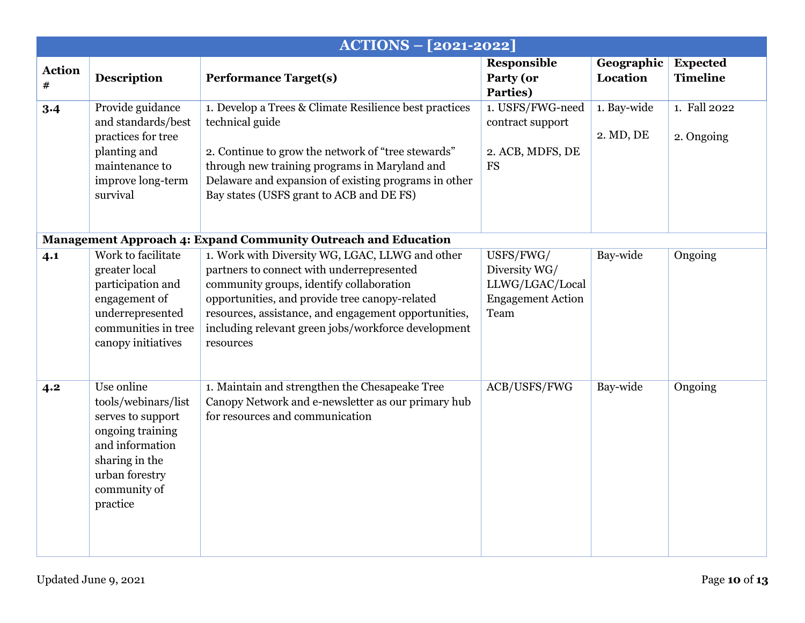|                    |                                                                                                                                                               | <b>ACTIONS - [2021-2022]</b>                                                                                                                                                                                                                                                                                           |                                                                                   |                          |                                    |
|--------------------|---------------------------------------------------------------------------------------------------------------------------------------------------------------|------------------------------------------------------------------------------------------------------------------------------------------------------------------------------------------------------------------------------------------------------------------------------------------------------------------------|-----------------------------------------------------------------------------------|--------------------------|------------------------------------|
| <b>Action</b><br># | <b>Description</b>                                                                                                                                            | <b>Performance Target(s)</b>                                                                                                                                                                                                                                                                                           | <b>Responsible</b><br>Party (or<br>Parties)                                       | Geographic<br>Location   | <b>Expected</b><br><b>Timeline</b> |
| $3-4$              | Provide guidance<br>and standards/best<br>practices for tree<br>planting and<br>maintenance to<br>improve long-term<br>survival                               | 1. Develop a Trees & Climate Resilience best practices<br>technical guide<br>2. Continue to grow the network of "tree stewards"<br>through new training programs in Maryland and<br>Delaware and expansion of existing programs in other<br>Bay states (USFS grant to ACB and DE FS)                                   | 1. USFS/FWG-need<br>contract support<br>2. ACB, MDFS, DE<br><b>FS</b>             | 1. Bay-wide<br>2. MD, DE | 1. Fall 2022<br>2. Ongoing         |
|                    |                                                                                                                                                               | <b>Management Approach 4: Expand Community Outreach and Education</b>                                                                                                                                                                                                                                                  |                                                                                   |                          |                                    |
| 4.1                | Work to facilitate<br>greater local<br>participation and<br>engagement of<br>underrepresented<br>communities in tree<br>canopy initiatives                    | 1. Work with Diversity WG, LGAC, LLWG and other<br>partners to connect with underrepresented<br>community groups, identify collaboration<br>opportunities, and provide tree canopy-related<br>resources, assistance, and engagement opportunities,<br>including relevant green jobs/workforce development<br>resources | USFS/FWG/<br>Diversity WG/<br>LLWG/LGAC/Local<br><b>Engagement Action</b><br>Team | Bay-wide                 | Ongoing                            |
| 4.2                | Use online<br>tools/webinars/list<br>serves to support<br>ongoing training<br>and information<br>sharing in the<br>urban forestry<br>community of<br>practice | 1. Maintain and strengthen the Chesapeake Tree<br>Canopy Network and e-newsletter as our primary hub<br>for resources and communication                                                                                                                                                                                | ACB/USFS/FWG                                                                      | Bay-wide                 | Ongoing                            |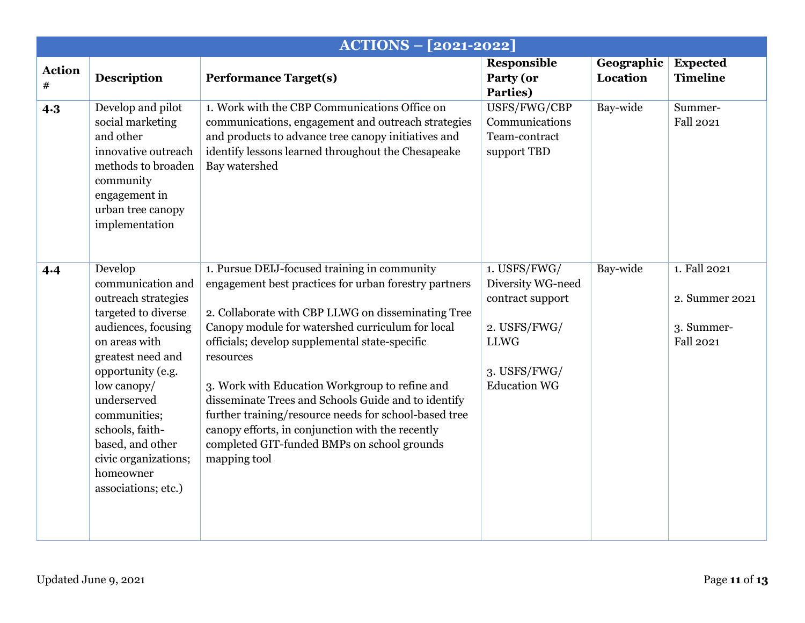|                    |                                                                                                                                                                                                                                                                                                               | <b>ACTIONS - [2021-2022]</b>                                                                                                                                                                                                                                                                                                                                                                                                                                                                                                                                         |                                                                                                                             |                        |                                                                  |
|--------------------|---------------------------------------------------------------------------------------------------------------------------------------------------------------------------------------------------------------------------------------------------------------------------------------------------------------|----------------------------------------------------------------------------------------------------------------------------------------------------------------------------------------------------------------------------------------------------------------------------------------------------------------------------------------------------------------------------------------------------------------------------------------------------------------------------------------------------------------------------------------------------------------------|-----------------------------------------------------------------------------------------------------------------------------|------------------------|------------------------------------------------------------------|
| <b>Action</b><br># | <b>Description</b>                                                                                                                                                                                                                                                                                            | <b>Performance Target(s)</b>                                                                                                                                                                                                                                                                                                                                                                                                                                                                                                                                         | <b>Responsible</b><br>Party (or<br>Parties)                                                                                 | Geographic<br>Location | <b>Expected</b><br><b>Timeline</b>                               |
| 4.3                | Develop and pilot<br>social marketing<br>and other<br>innovative outreach<br>methods to broaden<br>community<br>engagement in<br>urban tree canopy<br>implementation                                                                                                                                          | 1. Work with the CBP Communications Office on<br>communications, engagement and outreach strategies<br>and products to advance tree canopy initiatives and<br>identify lessons learned throughout the Chesapeake<br>Bay watershed                                                                                                                                                                                                                                                                                                                                    | USFS/FWG/CBP<br>Communications<br>Team-contract<br>support TBD                                                              | Bay-wide               | Summer-<br><b>Fall 2021</b>                                      |
| 4.4                | Develop<br>communication and<br>outreach strategies<br>targeted to diverse<br>audiences, focusing<br>on areas with<br>greatest need and<br>opportunity (e.g.<br>low canopy/<br>underserved<br>communities;<br>schools, faith-<br>based, and other<br>civic organizations;<br>homeowner<br>associations; etc.) | 1. Pursue DEIJ-focused training in community<br>engagement best practices for urban forestry partners<br>2. Collaborate with CBP LLWG on disseminating Tree<br>Canopy module for watershed curriculum for local<br>officials; develop supplemental state-specific<br>resources<br>3. Work with Education Workgroup to refine and<br>disseminate Trees and Schools Guide and to identify<br>further training/resource needs for school-based tree<br>can opy efforts, in conjunction with the recently<br>completed GIT-funded BMPs on school grounds<br>mapping tool | 1. USFS/FWG/<br>Diversity WG-need<br>contract support<br>2. USFS/FWG/<br><b>LLWG</b><br>3. USFS/FWG/<br><b>Education WG</b> | Bay-wide               | 1. Fall 2021<br>2. Summer 2021<br>3. Summer-<br><b>Fall 2021</b> |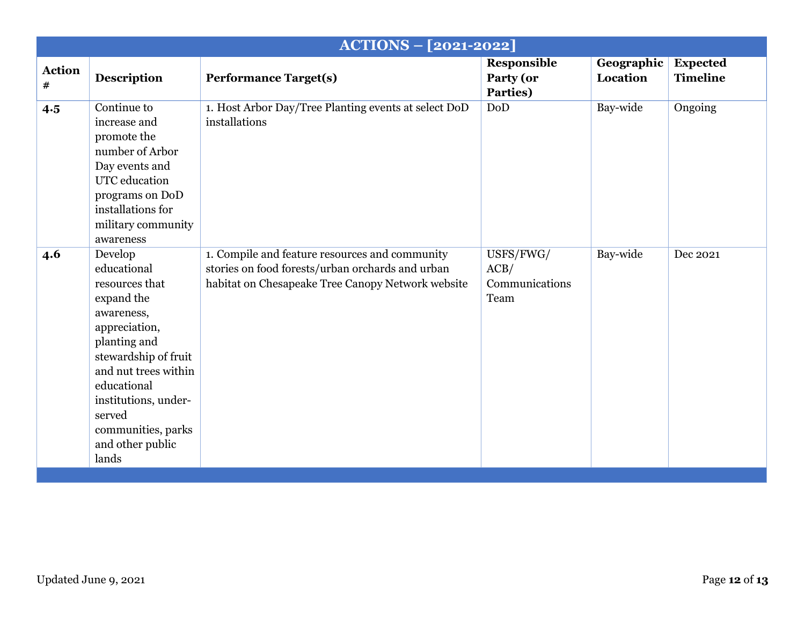|                       |                                                                                                                                                                                                                                                           | <b>ACTIONS - [2021-2022]</b>                                                                                                                            |                                             |                        |                                    |
|-----------------------|-----------------------------------------------------------------------------------------------------------------------------------------------------------------------------------------------------------------------------------------------------------|---------------------------------------------------------------------------------------------------------------------------------------------------------|---------------------------------------------|------------------------|------------------------------------|
| <b>Action</b><br>$\#$ | <b>Description</b>                                                                                                                                                                                                                                        | <b>Performance Target(s)</b>                                                                                                                            | Responsible<br>Party (or<br>Parties)        | Geographic<br>Location | <b>Expected</b><br><b>Timeline</b> |
| 4.5                   | Continue to<br>increase and<br>promote the<br>number of Arbor<br>Day events and<br>UTC education<br>programs on DoD<br>installations for<br>military community<br>awareness                                                                               | 1. Host Arbor Day/Tree Planting events at select DoD<br>installations                                                                                   | DoD                                         | Bay-wide               | Ongoing                            |
| 4.6                   | Develop<br>educational<br>resources that<br>expand the<br>awareness,<br>appreciation,<br>planting and<br>stewardship of fruit<br>and nut trees within<br>educational<br>institutions, under-<br>served<br>communities, parks<br>and other public<br>lands | 1. Compile and feature resources and community<br>stories on food forests/urban orchards and urban<br>habitat on Chesapeake Tree Canopy Network website | USFS/FWG/<br>ACB/<br>Communications<br>Team | Bay-wide               | Dec 2021                           |